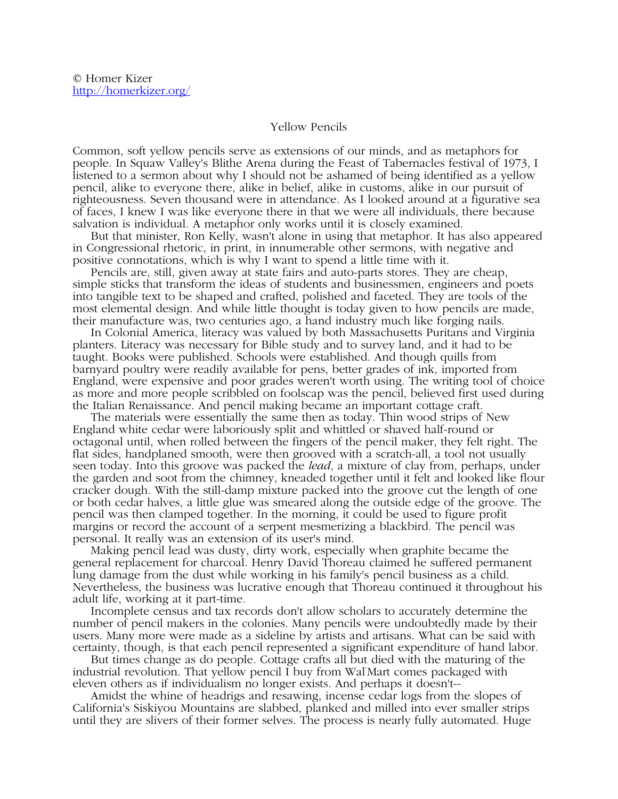## Yellow Pencils

Common, soft yellow pencils serve as extensions of our minds, and as metaphors for people. In Squaw Valley's Blithe Arena during the Feast of Tabernacles festival of 1973, I listened to a sermon about why I should not be ashamed of being identified as a yellow pencil, alike to everyone there, alike in belief, alike in customs, alike in our pursuit of righteousness. Seven thousand were in attendance. As I looked around at a figurative sea of faces, I knew I was like everyone there in that we were all individuals, there because salvation is individual. A metaphor only works until it is closely examined.

 But that minister, Ron Kelly, wasn't alone in using that metaphor. It has also appeared in Congressional rhetoric, in print, in innumerable other sermons, with negative and positive connotations, which is why I want to spend a little time with it.

 Pencils are, still, given away at state fairs and auto-parts stores. They are cheap, simple sticks that transform the ideas of students and businessmen, engineers and poets into tangible text to be shaped and crafted, polished and faceted. They are tools of the most elemental design. And while little thought is today given to how pencils are made, their manufacture was, two centuries ago, a hand industry much like forging nails.

 In Colonial America, literacy was valued by both Massachusetts Puritans and Virginia planters. Literacy was necessary for Bible study and to survey land, and it had to be taught. Books were published. Schools were established. And though quills from barnyard poultry were readily available for pens, better grades of ink, imported from England, were expensive and poor grades weren't worth using. The writing tool of choice as more and more people scribbled on foolscap was the pencil, believed first used during the Italian Renaissance. And pencil making became an important cottage craft.

 The materials were essentially the same then as today. Thin wood strips of New England white cedar were laboriously split and whittled or shaved half-round or octagonal until, when rolled between the fingers of the pencil maker, they felt right. The flat sides, handplaned smooth, were then grooved with a scratch-all, a tool not usually seen today. Into this groove was packed the *lead*, a mixture of clay from, perhaps, under the garden and soot from the chimney, kneaded together until it felt and looked like flour cracker dough. With the still-damp mixture packed into the groove cut the length of one or both cedar halves, a little glue was smeared along the outside edge of the groove. The pencil was then clamped together. In the morning, it could be used to figure profit margins or record the account of a serpent mesmerizing a blackbird. The pencil was personal. It really was an extension of its user's mind.

 Making pencil lead was dusty, dirty work, especially when graphite became the general replacement for charcoal. Henry David Thoreau claimed he suffered permanent lung damage from the dust while working in his family's pencil business as a child. Nevertheless, the business was lucrative enough that Thoreau continued it throughout his adult life, working at it part-time.

 Incomplete census and tax records don't allow scholars to accurately determine the number of pencil makers in the colonies. Many pencils were undoubtedly made by their users. Many more were made as a sideline by artists and artisans. What can be said with certainty, though, is that each pencil represented a significant expenditure of hand labor.

 But times change as do people. Cottage crafts all but died with the maturing of the industrial revolution. That yellow pencil I buy from Wal-Mart comes packaged with eleven others as if individualism no longer exists. And perhaps it doesn't--

 Amidst the whine of headrigs and resawing, incense cedar logs from the slopes of California's Siskiyou Mountains are slabbed, planked and milled into ever smaller strips until they are slivers of their former selves. The process is nearly fully automated. Huge